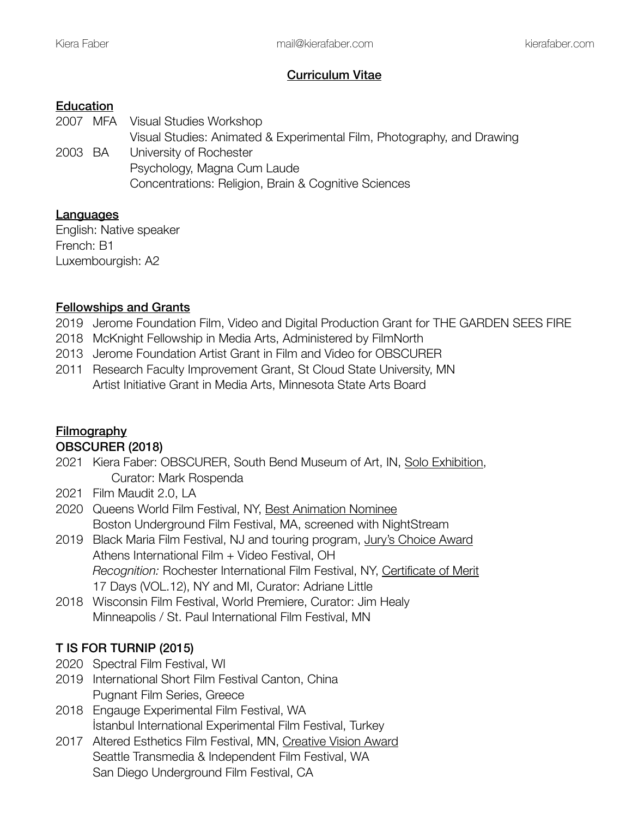### Curriculum Vitae

### **Education**

2007 MFA Visual Studies Workshop Visual Studies: Animated & Experimental Film, Photography, and Drawing 2003 BA University of Rochester Psychology, Magna Cum Laude Concentrations: Religion, Brain & Cognitive Sciences

### **Languages**

English: Native speaker French: B1 Luxembourgish: A2

### Fellowships and Grants

- 2019 Jerome Foundation Film, Video and Digital Production Grant for THE GARDEN SEES FIRE
- 2018 McKnight Fellowship in Media Arts, Administered by FilmNorth
- 2013 Jerome Foundation Artist Grant in Film and Video for OBSCURER
- 2011 Research Faculty Improvement Grant, St Cloud State University, MN Artist Initiative Grant in Media Arts, Minnesota State Arts Board

# **Filmography**

## OBSCURER (2018)

- 2021 Kiera Faber: OBSCURER, South Bend Museum of Art, IN, Solo Exhibition, Curator: Mark Rospenda
- 2021 Film Maudit 2.0, LA
- 2020 Queens World Film Festival, NY, Best Animation Nominee Boston Underground Film Festival, MA, screened with NightStream
- 2019 Black Maria Film Festival, NJ and touring program, Jury's Choice Award Athens International Film + Video Festival, OH *Recognition:* Rochester International Film Festival, NY, Certificate of Merit 17 Days (VOL.12), NY and MI, Curator: Adriane Little
- 2018 Wisconsin Film Festival, World Premiere, Curator: Jim Healy Minneapolis / St. Paul International Film Festival, MN

# T IS FOR TURNIP (2015)

- 2020 Spectral Film Festival, WI
- 2019 International Short Film Festival Canton, China Pugnant Film Series, Greece
- 2018 Engauge Experimental Film Festival, WA İstanbul International Experimental Film Festival, Turkey
- 2017 Altered Esthetics Film Festival, MN, Creative Vision Award Seattle Transmedia & Independent Film Festival, WA San Diego Underground Film Festival, CA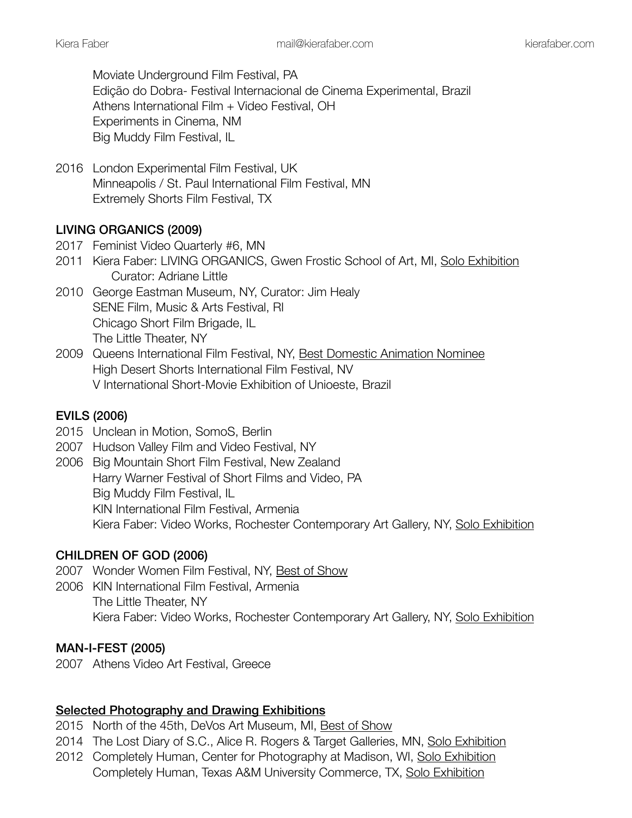Moviate Underground Film Festival, PA Edição do Dobra- Festival Internacional de Cinema Experimental, Brazil Athens International Film + Video Festival, OH Experiments in Cinema, NM Big Muddy Film Festival, IL

2016 London Experimental Film Festival, UK Minneapolis / St. Paul International Film Festival, MN Extremely Shorts Film Festival, TX

## LIVING ORGANICS (2009)

- 2017 Feminist Video Quarterly #6, MN
- 2011 Kiera Faber: LIVING ORGANICS, Gwen Frostic School of Art, MI, Solo Exhibition Curator: Adriane Little
- 2010 George Eastman Museum, NY, Curator: Jim Healy SENE Film, Music & Arts Festival, RI Chicago Short Film Brigade, IL The Little Theater, NY
- 2009 Queens International Film Festival, NY, Best Domestic Animation Nominee High Desert Shorts International Film Festival, NV V International Short-Movie Exhibition of Unioeste, Brazil

### EVILS (2006)

- 2015 Unclean in Motion, SomoS, Berlin
- 2007 Hudson Valley Film and Video Festival, NY
- 2006 Big Mountain Short Film Festival, New Zealand Harry Warner Festival of Short Films and Video, PA Big Muddy Film Festival, IL KIN International Film Festival, Armenia Kiera Faber: Video Works, Rochester Contemporary Art Gallery, NY, Solo Exhibition

### CHILDREN OF GOD (2006)

- 2007 Wonder Women Film Festival, NY, Best of Show
- 2006 KIN International Film Festival, Armenia The Little Theater, NY Kiera Faber: Video Works, Rochester Contemporary Art Gallery, NY, Solo Exhibition

#### MAN-I-FEST (2005)

2007 Athens Video Art Festival, Greece

#### Selected Photography and Drawing Exhibitions

- 2015 North of the 45th, DeVos Art Museum, MI, Best of Show
- 2014 The Lost Diary of S.C., Alice R. Rogers & Target Galleries, MN, Solo Exhibition
- 2012 Completely Human, Center for Photography at Madison, WI, Solo Exhibition Completely Human, Texas A&M University Commerce, TX, Solo Exhibition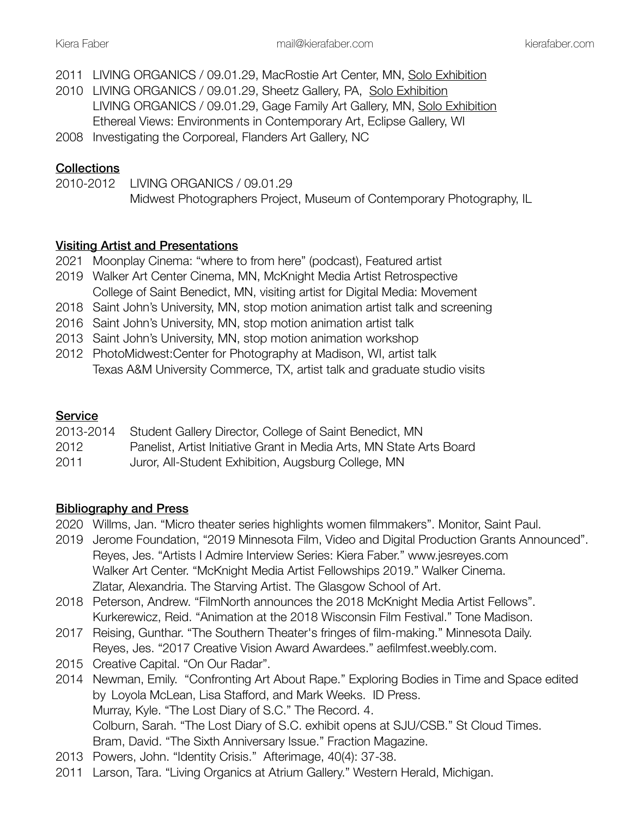- 2011 LIVING ORGANICS / 09.01.29, MacRostie Art Center, MN, Solo Exhibition
- 2010 LIVING ORGANICS / 09.01.29, Sheetz Gallery, PA, Solo Exhibition LIVING ORGANICS / 09.01.29, Gage Family Art Gallery, MN, Solo Exhibition Ethereal Views: Environments in Contemporary Art, Eclipse Gallery, WI
- 2008 Investigating the Corporeal, Flanders Art Gallery, NC

## **Collections**

2010-2012 LIVING ORGANICS / 09.01.29 Midwest Photographers Project, Museum of Contemporary Photography, IL

### Visiting Artist and Presentations

- 2021 Moonplay Cinema: "where to from here" (podcast), Featured artist
- 2019 Walker Art Center Cinema, MN, McKnight Media Artist Retrospective College of Saint Benedict, MN, visiting artist for Digital Media: Movement
- 2018 Saint John's University, MN, stop motion animation artist talk and screening
- 2016 Saint John's University, MN, stop motion animation artist talk
- 2013 Saint John's University, MN, stop motion animation workshop
- 2012 PhotoMidwest:Center for Photography at Madison, WI, artist talk Texas A&M University Commerce, TX, artist talk and graduate studio visits

## **Service**

| 2013-2014 | Student Gallery Director, College of Saint Benedict, MN              |
|-----------|----------------------------------------------------------------------|
| 2012      | Panelist, Artist Initiative Grant in Media Arts, MN State Arts Board |
| 2011      | Juror, All-Student Exhibition, Augsburg College, MN                  |

### Bibliography and Press

- 2020 Willms, Jan. "Micro theater series highlights women filmmakers". Monitor, Saint Paul.
- 2019 Jerome Foundation, "2019 Minnesota Film, Video and Digital Production Grants Announced". Reyes, Jes. "Artists I Admire Interview Series: Kiera Faber." www.jesreyes.com Walker Art Center. "McKnight Media Artist Fellowships 2019." Walker Cinema. Zlatar, Alexandria. The Starving Artist. The Glasgow School of Art.
- 2018 Peterson, Andrew. "FilmNorth announces the 2018 McKnight Media Artist Fellows". Kurkerewicz, Reid. "Animation at the 2018 Wisconsin Film Festival." Tone Madison.
- 2017 Reising, Gunthar. "The Southern Theater's fringes of film-making." Minnesota Daily. Reyes, Jes. "2017 Creative Vision Award Awardees." aefilmfest.weebly.com.
- 2015 Creative Capital. "On Our Radar".
- 2014 Newman, Emily. "Confronting Art About Rape." Exploring Bodies in Time and Space edited by Loyola McLean, Lisa Stafford, and Mark Weeks. ID Press. Murray, Kyle. "The Lost Diary of S.C." The Record. 4. Colburn, Sarah. "The Lost Diary of S.C. exhibit opens at SJU/CSB." St Cloud Times. Bram, David. "The Sixth Anniversary Issue." Fraction Magazine.
- 2013 Powers, John. "Identity Crisis." Afterimage, 40(4): 37-38.
- 2011 Larson, Tara. "Living Organics at Atrium Gallery." Western Herald, Michigan.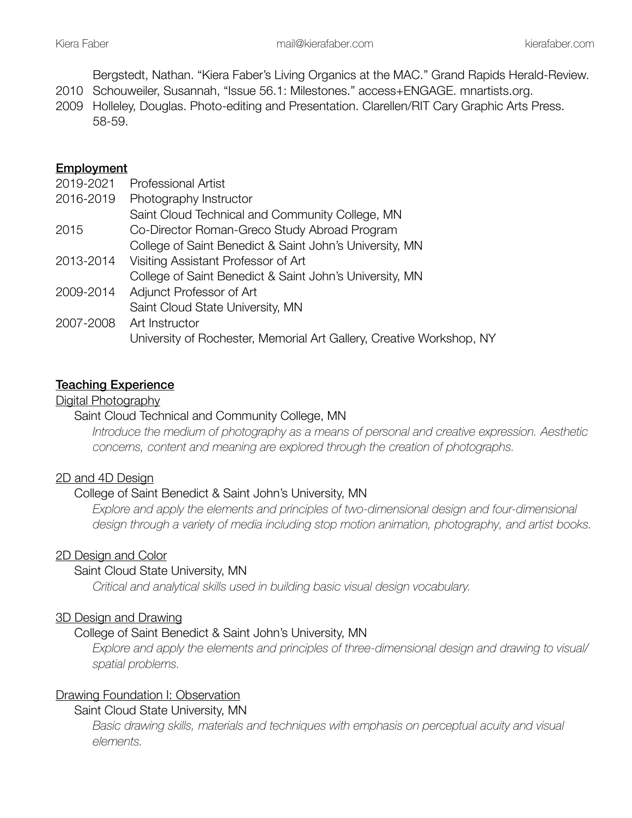Bergstedt, Nathan. "Kiera Faber's Living Organics at the MAC." Grand Rapids Herald-Review.

- 2010 Schouweiler, Susannah, "Issue 56.1: Milestones." access+ENGAGE. mnartists.org.
- 2009 Holleley, Douglas. Photo-editing and Presentation. Clarellen/RIT Cary Graphic Arts Press. 58-59.

## Employment

| 2019-2021 | <b>Professional Artist</b>                                           |
|-----------|----------------------------------------------------------------------|
| 2016-2019 | Photography Instructor                                               |
|           | Saint Cloud Technical and Community College, MN                      |
| 2015      | Co-Director Roman-Greco Study Abroad Program                         |
|           | College of Saint Benedict & Saint John's University, MN              |
| 2013-2014 | Visiting Assistant Professor of Art                                  |
|           | College of Saint Benedict & Saint John's University, MN              |
| 2009-2014 | Adjunct Professor of Art                                             |
|           | Saint Cloud State University, MN                                     |
| 2007-2008 | Art Instructor                                                       |
|           | University of Rochester, Memorial Art Gallery, Creative Workshop, NY |

### Teaching Experience

Digital Photography

### Saint Cloud Technical and Community College, MN

 *Introduce the medium of photography as a means of personal and creative expression. Aesthetic concerns, content and meaning are explored through the creation of photographs.* 

### 2D and 4D Design

### College of Saint Benedict & Saint John's University, MN

*Explore and apply the elements and principles of two-dimensional design and four-dimensional design through a variety of media including stop motion animation, photography, and artist books.*

### 2D Design and Color

### Saint Cloud State University, MN

 *Critical and analytical skills used in building basic visual design vocabulary.*

### 3D Design and Drawing

### College of Saint Benedict & Saint John's University, MN

 *Explore and apply the elements and principles of three-dimensional design and drawing to visual/ spatial problems.* 

## Drawing Foundation I: Observation

Saint Cloud State University, MN

*Basic drawing skills, materials and techniques with emphasis on perceptual acuity and visual elements.*